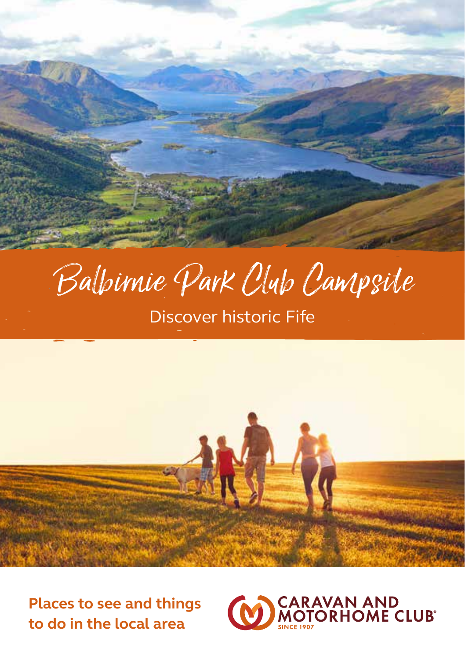

# Balbirnie Park Club Campsite

Discover historic Fife



**Places to see and things to do in the local area**

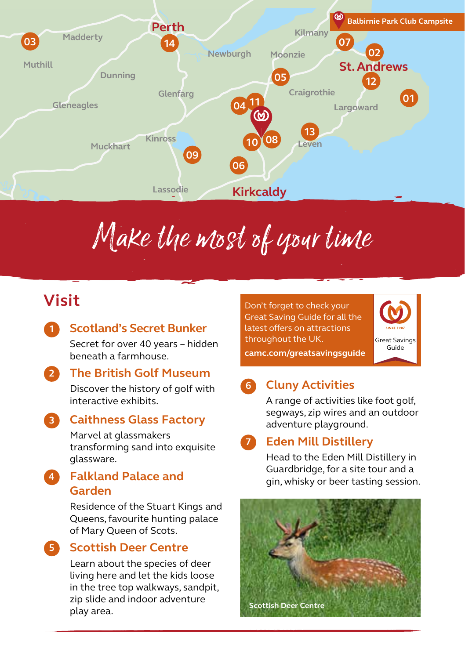

# Make the most of your time

## **Visit**

**1**

**5**

### **Scotland's Secret Bunker**

Secret for over 40 years – hidden beneath a farmhouse.

#### **The British Golf Museum 2**

Discover the history of golf with interactive exhibits.

#### **Caithness Glass Factory 3**

Marvel at glassmakers transforming sand into exquisite glassware.

### **Falkland Palace and Garden 4**

Residence of the Stuart Kings and Queens, favourite hunting palace of Mary Queen of Scots.

**Scottish Deer Centre**

Learn about the species of deer living here and let the kids loose in the tree top walkways, sandpit, zip slide and indoor adventure play area.

Don't forget to check your Great Saving Guide for all the latest offers on attractions throughout the UK.



**camc.com/greatsavingsguide**

### **Cluny Activities 6**

A range of activities like foot golf, segways, zip wires and an outdoor adventure playground.

#### **Eden Mill Distillery 7**

Head to the Eden Mill Distillery in Guardbridge, for a site tour and a gin, whisky or beer tasting session.

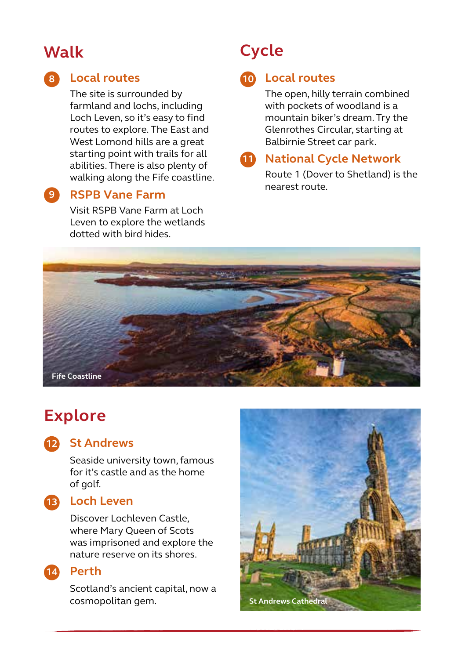## **Walk**

**9**

## **Local routes 8 10**

The site is surrounded by farmland and lochs, including Loch Leven, so it's easy to find routes to explore. The East and West Lomond hills are a great starting point with trails for all abilities. There is also plenty of walking along the Fife coastline.

## **RSPB Vane Farm**

Visit RSPB Vane Farm at Loch Leven to explore the wetlands dotted with bird hides.

## **Cycle**

## **Local routes**

The open, hilly terrain combined with pockets of woodland is a mountain biker's dream. Try the Glenrothes Circular, starting at Balbirnie Street car park.

## **National Cycle Network 11**

Route 1 (Dover to Shetland) is the nearest route.



## **Explore**

### **St Andrews 12**

Seaside university town, famous for it's castle and as the home of golf.

## **Loch Leven 13**

Discover Lochleven Castle, where Mary Queen of Scots was imprisoned and explore the nature reserve on its shores.



### **14** Perth

Scotland's ancient capital, now a cosmopolitan gem. **St Andrews Cathedral**